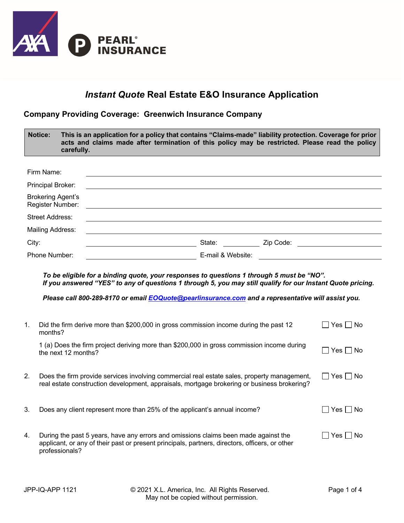

## *Instant Quote* **Real Estate E&O Insurance Application**

## **Company Providing Coverage: Greenwich Insurance Company**

|       | <b>Notice:</b><br>carefully.                 | This is an application for a policy that contains "Claims-made" liability protection. Coverage for prior<br>acts and claims made after termination of this policy may be restricted. Please read the policy                          |                                                                                                                                                                                                                                |
|-------|----------------------------------------------|--------------------------------------------------------------------------------------------------------------------------------------------------------------------------------------------------------------------------------------|--------------------------------------------------------------------------------------------------------------------------------------------------------------------------------------------------------------------------------|
|       |                                              |                                                                                                                                                                                                                                      |                                                                                                                                                                                                                                |
|       | Firm Name:                                   |                                                                                                                                                                                                                                      |                                                                                                                                                                                                                                |
|       | Principal Broker:                            |                                                                                                                                                                                                                                      |                                                                                                                                                                                                                                |
|       | <b>Brokering Agent's</b><br>Register Number: |                                                                                                                                                                                                                                      |                                                                                                                                                                                                                                |
|       | <b>Street Address:</b>                       |                                                                                                                                                                                                                                      |                                                                                                                                                                                                                                |
|       | Mailing Address:                             |                                                                                                                                                                                                                                      |                                                                                                                                                                                                                                |
| City: |                                              | <u>Note: State: Code: Cip Code: Contract of Code: Cip Code: Cip Code: Cip Code: Cip Code: Cip Code: Cip Code: Cip Code: Cip Code: Cip Code: Cip Code: Cip Code: Cip Code: Cip Code: Cip Code: Cip Code: Cip Code: Cip Code: Cip </u> |                                                                                                                                                                                                                                |
|       | Phone Number:                                |                                                                                                                                                                                                                                      | E-mail & Website: Note that the state of the state of the state of the state of the state of the state of the state of the state of the state of the state of the state of the state of the state of the state of the state of |
| 1.    | months?                                      | Please call 800-289-8170 or email EOQuote@pearlinsurance.com and a representative will assist you.<br>Did the firm derive more than \$200,000 in gross commission income during the past 12                                          | $\Box$ Yes $\Box$ No                                                                                                                                                                                                           |
|       | the next 12 months?                          | 1 (a) Does the firm project deriving more than \$200,000 in gross commission income during                                                                                                                                           | $\Box$ Yes $\Box$ No                                                                                                                                                                                                           |
| 2.    |                                              | Does the firm provide services involving commercial real estate sales, property management,<br>real estate construction development, appraisals, mortgage brokering or business brokering?                                           | $\Box$ Yes $\Box$ No                                                                                                                                                                                                           |
| 3.    |                                              | Does any client represent more than 25% of the applicant's annual income?                                                                                                                                                            | Yes $\Box$ No                                                                                                                                                                                                                  |
| 4.    |                                              | During the past 5 years, have any errors and omissions claims been made against the<br>applicant, or any of their past or present principals, partners, directors, officers, or other                                                | $\Box$ Yes $\Box$ No                                                                                                                                                                                                           |

professionals?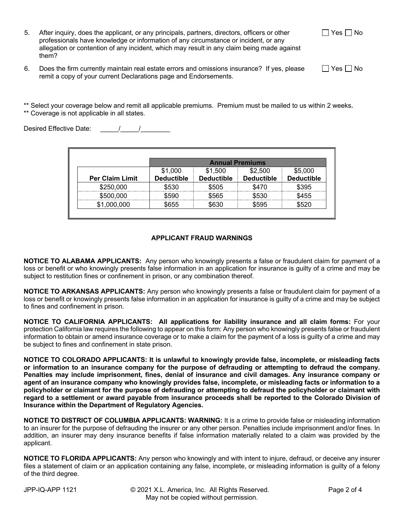| After inquiry, does the applicant, or any principals, partners, directors, officers or other |
|----------------------------------------------------------------------------------------------|
| professionals have knowledge or information of any circumstance or incident, or any          |
| allegation or contention of any incident, which may result in any claim being made against   |
| them?                                                                                        |

6. Does the firm currently maintain real estate errors and omissions insurance? If yes, please remit a copy of your current Declarations page and Endorsements.

\*\* Select your coverage below and remit all applicable premiums. Premium must be mailed to us within 2 weeks. \*\* Coverage is not applicable in all states.

Desired Effective Date:  $\frac{1}{2}$ 

|                        | <b>Annual Premiums</b> |                   |                   |                   |
|------------------------|------------------------|-------------------|-------------------|-------------------|
|                        | \$1,000                | \$1,500           | \$2,500           | \$5,000           |
| <b>Per Claim Limit</b> | <b>Deductible</b>      | <b>Deductible</b> | <b>Deductible</b> | <b>Deductible</b> |
| \$250,000              | \$530                  | \$505             | \$470             | \$395             |
| \$500,000              | \$590                  | \$565             | \$530             | \$455             |
| \$1,000,000            | \$655                  | \$630             | \$595             | \$520             |

## **APPLICANT FRAUD WARNINGS**

**NOTICE TO ALABAMA APPLICANTS:** Any person who knowingly presents a false or fraudulent claim for payment of a loss or benefit or who knowingly presents false information in an application for insurance is guilty of a crime and may be subject to restitution fines or confinement in prison, or any combination thereof.

**NOTICE TO ARKANSAS APPLICANTS:** Any person who knowingly presents a false or fraudulent claim for payment of a loss or benefit or knowingly presents false information in an application for insurance is guilty of a crime and may be subject to fines and confinement in prison.

**NOTICE TO CALIFORNIA APPLICANTS: All applications for liability insurance and all claim forms:** For your protection California law requires the following to appear on this form: Any person who knowingly presents false or fraudulent information to obtain or amend insurance coverage or to make a claim for the payment of a loss is guilty of a crime and may be subject to fines and confinement in state prison.

**NOTICE TO COLORADO APPLICANTS: It is unlawful to knowingly provide false, incomplete, or misleading facts or information to an insurance company for the purpose of defrauding or attempting to defraud the company. Penalties may include imprisonment, fines, denial of insurance and civil damages. Any insurance company or agent of an insurance company who knowingly provides false, incomplete, or misleading facts or information to a policyholder or claimant for the purpose of defrauding or attempting to defraud the policyholder or claimant with regard to a settlement or award payable from insurance proceeds shall be reported to the Colorado Division of Insurance within the Department of Regulatory Agencies.**

**NOTICE TO DISTRICT OF COLUMBIA APPLICANTS: WARNING:** It is a crime to provide false or misleading information to an insurer for the purpose of defrauding the insurer or any other person. Penalties include imprisonment and/or fines. In addition, an insurer may deny insurance benefits if false information materially related to a claim was provided by the applicant.

**NOTICE TO FLORIDA APPLICANTS:** Any person who knowingly and with intent to injure, defraud, or deceive any insurer files a statement of claim or an application containing any false, incomplete, or misleading information is guilty of a felony of the third degree.

 $\Box$  Yes  $\Box$  No

 $\Box$  Yes  $\Box$  No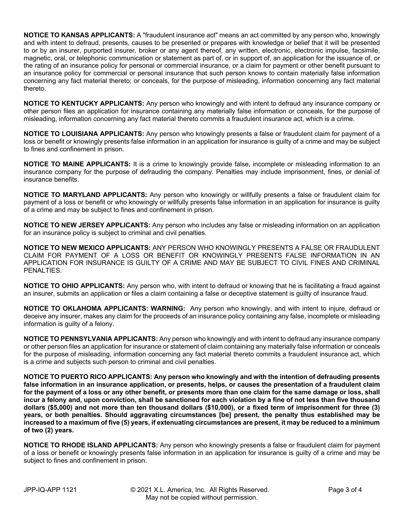**NOTICE TO KANSAS APPLICANTS:** A "fraudulent insurance act" means an act committed by any person who, knowingly and with intent to defraud, presents, causes to be presented or prepares with knowledge or belief that it will be presented to or by an insurer, purported insurer, broker or any agent thereof, any written, electronic, electronic impulse, facsimile, magnetic, oral, or telephonic communication or statement as part of, or in support of, an application for the issuance of, or the rating of an insurance policy for personal or commercial insurance, or a claim for payment or other benefit pursuant to an insurance policy for commercial or personal insurance that such person knows to contain materially false information concerning any fact material thereto; or conceals, for the purpose of misleading, information concerning any fact material thereto.

**NOTICE TO KENTUCKY APPLICANTS:** Any person who knowingly and with intent to defraud any insurance company or other person files an application for insurance containing any materially false information or conceals, for the purpose of misleading, information concerning any fact material thereto commits a fraudulent insurance act, which is a crime.

**NOTICE TO LOUISIANA APPLICANTS:** Any person who knowingly presents a false or fraudulent claim for payment of a loss or benefit or knowingly presents false information in an application for insurance is guilty of a crime and may be subject to fines and confinement in prison.

**NOTICE TO MAINE APPLICANTS:** It is a crime to knowingly provide false, incomplete or misleading information to an insurance company for the purpose of defrauding the company. Penalties may include imprisonment, fines, or denial of insurance benefits.

**NOTICE TO MARYLAND APPLICANTS:** Any person who knowingly or willfully presents a false or fraudulent claim for payment of a loss or benefit or who knowingly or willfully presents false information in an application for insurance is guilty of a crime and may be subject to fines and confinement in prison.

**NOTICE TO NEW JERSEY APPLICANTS:** Any person who includes any false or misleading information on an application for an insurance policy is subject to criminal and civil penalties.

**NOTICE TO NEW MEXICO APPLICANTS:** ANY PERSON WHO KNOWINGLY PRESENTS A FALSE OR FRAUDULENT CLAIM FOR PAYMENT OF A LOSS OR BENEFIT OR KNOWINGLY PRESENTS FALSE INFORMATION IN AN APPLICATION FOR INSURANCE IS GUILTY OF A CRIME AND MAY BE SUBJECT TO CIVIL FINES AND CRIMINAL PENALTIES.

**NOTICE TO OHIO APPLICANTS:** Any person who, with intent to defraud or knowing that he is facilitating a fraud against an insurer, submits an application or files a claim containing a false or deceptive statement is guilty of insurance fraud.

**NOTICE TO OKLAHOMA APPLICANTS: WARNING:** Any person who knowingly, and with intent to injure, defraud or deceive any insurer, makes any claim for the proceeds of an insurance policy containing any false, incomplete or misleading information is guilty of a felony.

**NOTICE TO PENNSYLVANIA APPLICANTS:** Any person who knowingly and with intent to defraud any insurance company or other person files an application for insurance or statement of claim containing any materially false information or conceals for the purpose of misleading, information concerning any fact material thereto commits a fraudulent insurance act, which is a crime and subjects such person to criminal and civil penalties.

**NOTICE TO PUERTO RICO APPLICANTS: Any person who knowingly and with the intention of defrauding presents false information in an insurance application, or presents, helps, or causes the presentation of a fraudulent claim for the payment of a loss or any other benefit, or presents more than one claim for the same damage or loss, shall incur a felony and, upon conviction, shall be sanctioned for each violation by a fine of not less than five thousand dollars (\$5,000) and not more than ten thousand dollars (\$10,000), or a fixed term of imprisonment for three (3) years, or both penalties. Should aggravating circumstances [be] present, the penalty thus established may be increased to a maximum of five (5) years, if extenuating circumstances are present, it may be reduced to a minimum of two (2) years.**

**NOTICE TO RHODE ISLAND APPLICANTS:** Any person who knowingly presents a false or fraudulent claim for payment of a loss or benefit or knowingly presents false information in an application for insurance is guilty of a crime and may be subject to fines and confinement in prison.